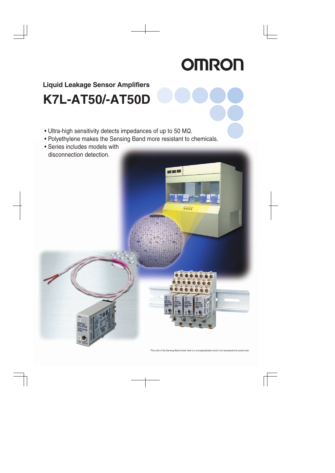# **K7L-AT50/-AT50D Liquid Leakage Sensor Amplifiers**

- $\bullet$  Ultra-high sensitivity detects impedances of up to 50 M $\Omega$ .
- Polyethylene makes the Sensing Band more resistant to chemicals.
- Series includes models with disconnection detection.

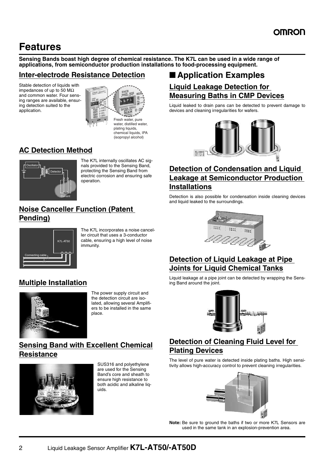### **Features**

**Sensing Bands boast high degree of chemical resistance. The K7L can be used in a wide range of applications, from semiconductor production installations to food-processing equipment.**

#### **Inter-electrode Resistance Detection**

Stable detection of liquids with impedances of up to 50 MΩ and common water. Four sensing ranges are available, ensuring detection suited to the application.



water, distilled water, plating liquids, chemical liquids, IPA (isopropyl alcohol)

#### **AC Detection Method**



The K7L internally oscillates AC signals provided to the Sensing Band, protecting the Sensing Band from electric corrosion and ensuring safe operation.

#### **Noise Canceller Function (Patent Pending)**



The K7L incorporates a noise canceller circuit that uses a 3-conductor cable, ensuring a high level of noise immunity.

#### **Multiple Installation**



The power supply circuit and the detection circuit are isolated, allowing several Amplifiers to be installed in the same place.

#### **Sensing Band with Excellent Chemical Resistance**



SUS316 and polyethylene are used for the Sensing Band's core and sheath to ensure high resistance to both acidic and alkaline liquids.

### ■ **Application Examples**

#### **Liquid Leakage Detection for Measuring Baths in CMP Devices**

Liquid leaked to drain pans can be detected to prevent damage to devices and cleaning irregularities for wafers.



#### **Detection of Condensation and Liquid Leakage at Semiconductor Production Installations**

Detection is also possible for condensation inside cleaning devices and liquid leaked to the surroundings.



#### **Detection of Liquid Leakage at Pipe Joints for Liquid Chemical Tanks**

Liquid leakage at a pipe joint can be detected by wrapping the Sensing Band around the joint.



#### **Detection of Cleaning Fluid Level for Plating Devices**

The level of pure water is detected inside plating baths. High sensitivity allows high-accuracy control to prevent cleaning irregularities.



**Note:** Be sure to ground the baths if two or more K7L Sensors are used in the same tank in an explosion-prevention area.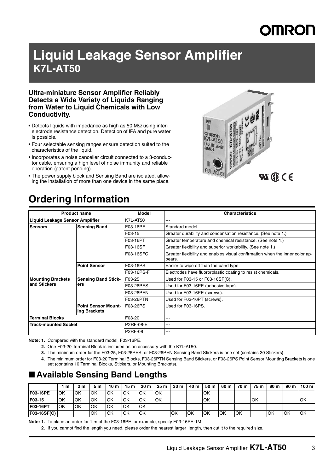# **MRON**

### **Liquid Leakage Sensor Amplifier K7L-AT50**

#### **Ultra-miniature Sensor Amplifier Reliably Detects a Wide Variety of Liquids Ranging from Water to Liquid Chemicals with Low Conductivity.**

- Detects liquids with impedance as high as 50 MΩ using interelectrode resistance detection. Detection of IPA and pure water is possible.
- Four selectable sensing ranges ensure detection suited to the characteristics of the liquid.
- Incorporates a noise canceller circuit connected to a 3-conductor cable, ensuring a high level of noise immunity and reliable operation (patent pending).
- The power supply block and Sensing Band are isolated, allowing the installation of more than one device in the same place.



### **Ordering Information**

|                                        | <b>Product name</b>                        | Model            | <b>Characteristics</b>                                                                 |  |
|----------------------------------------|--------------------------------------------|------------------|----------------------------------------------------------------------------------------|--|
| <b>Liquid Leakage Sensor Amplifier</b> |                                            | <b>K7L-AT50</b>  | ---                                                                                    |  |
| <b>Sensing Band</b><br><b>Sensors</b>  |                                            | F03-16PE         | Standard model                                                                         |  |
|                                        |                                            | F03-15           | Greater durability and condensation resistance. (See note 1.)                          |  |
|                                        |                                            | F03-16PT         | Greater temperature and chemical resistance. (See note 1.)                             |  |
|                                        |                                            | F03-16SF         | Greater flexibility and superior workability. (See note 1.)                            |  |
|                                        |                                            | F03-16SFC        | Greater flexibility and enables visual confirmation when the inner color ap-<br>pears. |  |
|                                        | <b>Point Sensor</b>                        | F03-16PS         | Easier to wipe off than the band type.                                                 |  |
|                                        |                                            | F03-16PS-F       | Electrodes have fluororplastic coating to resist chemicals.                            |  |
| <b>Mounting Brackets</b>               | <b>Sensing Band Stick-</b><br>ers          | F03-25           | Used for F03-15 or F03-16SF(C).                                                        |  |
| and Stickers                           |                                            | F03-26PES        | Used for F03-16PE (adhesive tape).                                                     |  |
|                                        |                                            | F03-26PEN        | Used for F03-16PE (screws).                                                            |  |
|                                        |                                            | F03-26PTN        | Used for F03-16PT (screws).                                                            |  |
|                                        | <b>Point Sensor Mount-</b><br>ing Brackets | <b>F03-26PS</b>  | Used for F03-16PS.                                                                     |  |
| Terminal Blocks                        |                                            | F03-20           | ---                                                                                    |  |
| <b>Track-mounted Socket</b>            |                                            | <b>P2RF-08-E</b> | ---                                                                                    |  |
|                                        |                                            | <b>P2RF-08</b>   | ---                                                                                    |  |

**Note: 1.** Compared with the standard model, F03-16PE.

- **2.** One F03-20 Terminal Block is included as an accessory with the K7L-AT50.
- **3.** The minimum order for the F03-25, F03-26PES, or F03-26PEN Sensing Band Stickers is one set (contains 30 Stickers).
- **4.** The minimum order for F03-20 Terminal Blocks, F03-26PTN Sensing Band Stickers, or F03-26PS Point Sensor Mounting Brackets is one set (contains 10 Terminal Blocks, Stickers, or Mounting Brackets).

#### ■ **Available Sensing Band Lengths**

|             | m  | 2 m       | 5 m | 10 <sub>m</sub> | 15 <sub>m</sub> | 20 <sub>m</sub> | 25m | 30 <sub>m</sub> | 40 m | 50 m | 60 m      | 70 m | 75 m       | 80 m | 90 m | 100 m      |
|-------------|----|-----------|-----|-----------------|-----------------|-----------------|-----|-----------------|------|------|-----------|------|------------|------|------|------------|
| F03-16PE    | OK | <b>OK</b> | OK  | <b>OK</b>       | OK              | OK              | OK  |                 |      | OK   |           |      |            |      |      |            |
| F03-15      | OK | <b>OK</b> | OK  | lok             | OK              | OK              | OK  |                 |      | OK   |           |      | <b>IOK</b> |      |      | OK         |
| F03-16PT    | OK | OK        | OK  | OK              | OK              | OK              |     |                 |      |      |           |      |            |      |      |            |
| F03-16SF(C) |    |           | OK  | OK              | <b>OK</b>       | OK              |     | OK              | OK   | OK   | <b>OK</b> | lОK  |            | OK   | ЮK   | <b>IOK</b> |

**Note: 1.** To place an order for 1 m of the F03-16PE for example, specify F03-16PE-1M.

**2.** If you cannot find the length you need, please order the nearest larger length, then cut it to the required size.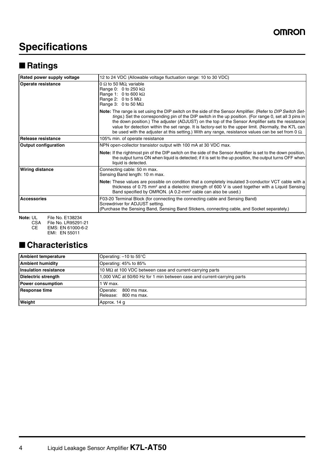### **Specifications**

### ■ **Ratings**

| Rated power supply voltage  | 12 to 24 VDC (Allowable voltage fluctuation range: 10 to 30 VDC)                                                                                                                                                                                                                                                                                                                                                                                                                                                                                         |  |  |  |
|-----------------------------|----------------------------------------------------------------------------------------------------------------------------------------------------------------------------------------------------------------------------------------------------------------------------------------------------------------------------------------------------------------------------------------------------------------------------------------------------------------------------------------------------------------------------------------------------------|--|--|--|
| Operate resistance          | 0 $\Omega$ to 50 M $\Omega$ , variable<br>Range 0: 0 to 250 k $\Omega$<br>Range 1: 0 to 600 k $\Omega$<br>Range 2: 0 to 5 $M\Omega$<br>Range 3: $0$ to 50 M $\Omega$                                                                                                                                                                                                                                                                                                                                                                                     |  |  |  |
|                             | Note: The range is set using the DIP switch on the side of the Sensor Amplifier. (Refer to <i>DIP Switch Set-</i><br>tings.) Set the corresponding pin of the DIP switch in the up position. (For range 0, set all 3 pins in<br>the down position.) The adjuster (ADJUST) on the top of the Sensor Amplifier sets the resistance<br>value for detection within the set range. It is factory-set to the upper limit. (Normally, the K7L can<br>be used with the adjuster at this setting.) With any range, resistance values can be set from 0 $\Omega$ . |  |  |  |
| Release resistance          | 105% min. of operate resistance                                                                                                                                                                                                                                                                                                                                                                                                                                                                                                                          |  |  |  |
| <b>Output configuration</b> | NPN open-collector transistor output with 100 mA at 30 VDC max.                                                                                                                                                                                                                                                                                                                                                                                                                                                                                          |  |  |  |
|                             | <b>Note:</b> If the rightmost pin of the DIP switch on the side of the Sensor Amplifier is set to the down position,<br>the output turns ON when liquid is detected; if it is set to the up position, the output turns OFF when<br>liquid is detected.                                                                                                                                                                                                                                                                                                   |  |  |  |
| <b>Wiring distance</b>      | Connecting cable: 50 m max.<br>Sensing Band length: 10 m max.                                                                                                                                                                                                                                                                                                                                                                                                                                                                                            |  |  |  |
|                             | <b>Note:</b> These values are possible on condition that a completely insulated 3-conductor VCT cable with a<br>thickness of 0.75 mm <sup>2</sup> and a dielectric strength of 600 V is used together with a Liquid Sensing<br>Band specified by OMRON. (A 0.2-mm <sup>2</sup> cable can also be used.)                                                                                                                                                                                                                                                  |  |  |  |
| <b>Accessories</b>          | F03-20 Terminal Block (for connecting the connecting cable and Sensing Band)<br>Screwdriver for ADJUST setting.<br>(Purchase the Sensing Band, Sensing Band Stickers, connecting cable, and Socket separately.)                                                                                                                                                                                                                                                                                                                                          |  |  |  |

**Note:** UL File No. E138234 CSA File No. LR95291-21

CE EMS: EN 61000-6-2

<span id="page-3-0"></span>EMI: EN 55011

### ■ **Characteristics**

| <b>Ambient temperature</b>   | Operating: -10 to 55°C                                                  |  |  |  |
|------------------------------|-------------------------------------------------------------------------|--|--|--|
| <b>Ambient humidity</b>      | Operating: 45% to 85%                                                   |  |  |  |
| <b>Insulation resistance</b> | 10 $\text{M}\Omega$ at 100 VDC between case and current-carrying parts  |  |  |  |
| <b>Dielectric strength</b>   | 1,000 VAC at 50/60 Hz for 1 min between case and current-carrying parts |  |  |  |
| Power consumption            | 1 W max.                                                                |  |  |  |
| <b>Response time</b>         | 800 ms max.<br>Operate:<br>Release:<br>800 ms max.                      |  |  |  |
| Weight                       | Approx. 14 g                                                            |  |  |  |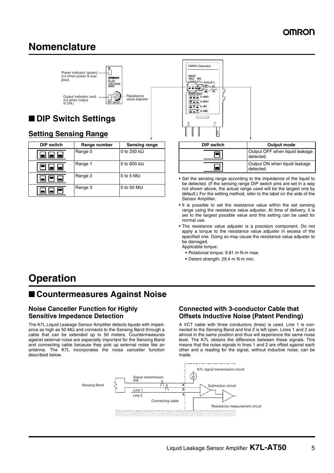### <span id="page-4-0"></span>**Nomenclature**



| <b>DIP switch</b> | Range number | Sensing range       |
|-------------------|--------------|---------------------|
| 886               | Range 0      | 0 to 250 k $\Omega$ |
|                   | Range 1      | 0 to 600 k $\Omega$ |
|                   | Range 2      | 0 to 5 $M\Omega$    |
|                   | Range 3      | 0 to 50 $M\Omega$   |



- **•** Set the sensing range according to the impedance of the liquid to be detected. (If the sensing range DIP switch pins are set in a way not shown above, the actual range used will be the largest one by default.) For the setting method, refer to the label on the side of the Sensor Amplifier.
- **•** It is possible to set the resistance value within the set sensing range using the resistance value adjuster. At time of delivery, it is set to the largest possible value and this setting can be used for normal use.
- **•** The resistance value adjuster is a precision component. Do not apply a torque to the resistance value adjuster in excess of the specified one. Doing so may cause the resistance value adjuster to be damaged.

Applicable torque:

- **•** Rotational torque: 9.81 m N·m max.
- **•** Detent strength: 29.4 m N·m min.

### **Operation**

### ■ **Countermeasures Against Noise**

#### **Noise Canceller Function for Highly Sensitive Impedance Detection**

The K7L Liquid Leakage Sensor Amplifier detects liquids with impedance as high as 50 MΩ and connects to the Sensing Band through a cable that can be extended up to 50 meters. Countermeasures against external noise are especially important for the Sensing Band and connecting cable because they pick up external noise like an antenna. The K7L incorporates the noise canceller function described below.

#### **Connected with 3-conductor Cable that Offsets Inductive Noise (Patent Pending)**

A VCT cable with three conductors (lines) is used. Line 1 is connected to the Sensing Band and line 2 is left open. Lines 1 and 2 are almost in the same position and thus will experience the same noise level. The K7L obtains the difference between these signals. This means that the noise signals in lines 1 and 2 are offset against each other and a reading for the signal, without inductive noise, can be made.

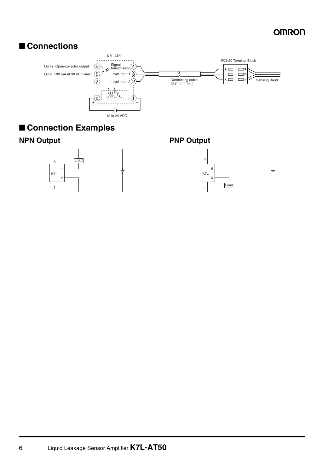#### ■ **Connections**



#### ■ **Connection Examples**



#### **NPN Output PNP Output**

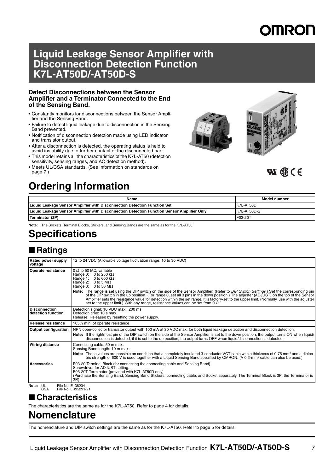## **MRON**

### **Liquid Leakage Sensor Amplifier with Disconnection Detection Function K7L-AT50D/-AT50D-S**

#### **Detect Disconnections between the Sensor Amplifier and a Terminator Connected to the End of the Sensing Band.**

- Constantly monitors for disconnections between the Sensor Amplifier and the Sensing Band.
- Failure to detect liquid leakage due to disconnection in the Sensing Band prevented.
- Notification of disconnection detection made using LED indicator and transistor output.
- After a disconnection is detected, the operating status is held to avoid instability due to further contact of the disconnected part.
- This model retains all the characteristics of the K7L-AT50 (detection sensitivity, sensing ranges, and AC detection method).
- Meets UL/CSA standards. (See information on standards on [page 7.](#page-6-0))



### $50 \times 10^{-10}$

### **Ordering Information**

| Name                                                                                        | Model number |
|---------------------------------------------------------------------------------------------|--------------|
| Liquid Leakage Sensor Amplifier with Disconnection Detection Function Set                   | K7L-AT50D    |
| Liquid Leakage Sensor Amplifier with Disconnection Detection Function Sensor Amplifier Only | K7L-AT50D-S  |
| Terminator (2P)                                                                             | F03-20T      |

**Note:** The Sockets, Terminal Blocks, Stickers, and Sensing Bands are the same as for the K7L-AT50.

### **Specifications**

### ■ **Ratings**

| Rated power supply<br>voltage              | 12 to 24 VDC (Allowable voltage fluctuation range: 10 to 30 VDC)                                                                                                                                                                                                                                                                                                                                                                                                                                                                                                                                                                                                                                                     |
|--------------------------------------------|----------------------------------------------------------------------------------------------------------------------------------------------------------------------------------------------------------------------------------------------------------------------------------------------------------------------------------------------------------------------------------------------------------------------------------------------------------------------------------------------------------------------------------------------------------------------------------------------------------------------------------------------------------------------------------------------------------------------|
| Operate resistance                         | 0 $\Omega$ to 50 M $\Omega$ , variable<br>Range 0:<br>0 to 250 k $\Omega$<br>Range 1:<br>0 to 600 k $\Omega$<br>Range 2: $0$ to 5 M $\Omega$<br>Range 3: $0$ to 50 M $\Omega$<br>Note: The range is set using the DIP switch on the side of the Sensor Amplifier. (Refer to DIP Switch Settings.) Set the corresponding pin<br>of the DIP switch in the up position. (For range 0, set all 3 pins in the down position.) The adjuster (ADJUST) on the top of the Sensor<br>Amplifier sets the resistance value for detection within the set range. It is factory-set to the upper limit. (Normally, use with the adjuster<br>set to the upper limit.) With any range, resistance values can be set from 0 $\Omega$ . |
| <b>Disconnection</b><br>detection function | Detection signal: 10 VDC max., 200 ms<br>Detection time: 10 s max.<br>Release: Released by resetting the power supply.                                                                                                                                                                                                                                                                                                                                                                                                                                                                                                                                                                                               |
| Release resistance                         | 105% min. of operate resistance                                                                                                                                                                                                                                                                                                                                                                                                                                                                                                                                                                                                                                                                                      |
| <b>Output configuration</b>                | NPN open-collector transistor output with 100 mA at 30 VDC max, for both liquid leakage detection and disconnection detection.<br>Note: If the rightmost pin of the DIP switch on the side of the Sensor Amplifier is set to the down position, the output turns ON when liquid/<br>disconnection is detected; if it is set to the up position, the output turns OFF when liquid/disconnection is detected.                                                                                                                                                                                                                                                                                                          |
| <b>Wiring distance</b>                     | Connecting cable: 50 m max.<br>Sensing Band length: 10 m max.<br>Note: These values are possible on condition that a completely insulated 3-conductor VCT cable with a thickness of 0.75 mm <sup>2</sup> and a dielec-<br>tric strength of 600 V is used together with a Liquid Sensing Band specified by OMRON. (A 0.2-mm <sup>2</sup> cable can also be used.)                                                                                                                                                                                                                                                                                                                                                     |
| <b>Accessories</b>                         | F03-20 Terminal Block (for connecting the connecting cable and Sensing Band)<br>Screwdriver for ADJUST setting.<br>F03-20T Terminator (provided with K7L-AT50D only)<br>(Purchase the Sensing Band, Sensing Band Stickers, connecting cable, and Socket separately. The Terminal Block is 3P; the Terminator is<br>2P.)                                                                                                                                                                                                                                                                                                                                                                                              |
| File No. E138234<br>Note: UL<br><b>CSA</b> | File No. LR95291-21                                                                                                                                                                                                                                                                                                                                                                                                                                                                                                                                                                                                                                                                                                  |

### <span id="page-6-0"></span>■ **Characteristics**

The characteristics are the same as for the K7L-AT50. Refer to [page 4](#page-3-0) for details.

### **Nomenclature**

The nomenclature and DIP switch settings are the same as for the K7L-AT50. Refer to [page 5](#page-4-0) for details.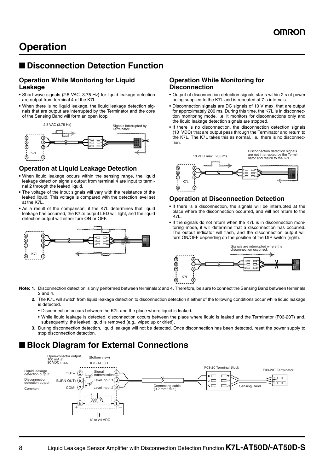#### ■ **Disconnection Detection Function**

#### **Operation While Monitoring for Liquid Leakage**

- **•** Short-wave signals (2.5 VAC, 3.75 Hz) for liquid leakage detection are output from terminal 4 of the K7L.
- **•** When there is no liquid leakage, the liquid leakage detection signals that are output are interrupted by the Terminator and the core of the Sensing Band will form an open loop.



#### **Operation at Liquid Leakage Detection**

- **•** When liquid leakage occurs within the sensing range, the liquid leakage detection signals output from terminal 4 are input to terminal 2 through the leaked liquid.
- **•** The voltage of the input signals will vary with the resistance of the leaked liquid. This voltage is compared with the detection level set at the K7L.
- **•** As a result of the comparison, if the K7L determines that liquid leakage has occurred, the K7L's output LED will light, and the liquid detection output will either turn ON or OFF.



#### **Operation While Monitoring for Disconnection**

- **•** Output of disconnection detection signals starts within 2 s of power being supplied to the K7L and is repeated at 7-s intervals.
- **•** Disconnection signals are DC signals of 10 V max. that are output for approximately 200 ms. During this time, the K7L is in disconnection monitoring mode, i.e. it monitors for disconnections only and the liquid leakage detection signals are stopped.
- **•** If there is no disconnection, the disconnection detection signals (10 VDC) that are output pass through the Terminator and return to the K7L. The K7L takes this as normal, i.e., there is no disconnection.



#### **Operation at Disconnection Detection**

- **•** If there is a disconnection, the signals will be interrupted at the place where the disconnection occurred, and will not return to the K7L.
- **•** If the signals do not return when the K7L is in disconnection monitoring mode, it will determine that a disconnection has occurred. The output indicator will flash, and the disconnection output will turn ON/OFF depending on the position of the DIP switch (right).



- **Note: 1.** Disconnection detection is only performed between terminals 2 and 4. Therefore, be sure to connect the Sensing Band between terminals 2 and 4.
	- **2.** The K7L will switch from liquid leakage detection to disconnection detection if either of the following conditions occur while liquid leakage is detected.
		- **•** Disconnection occurs between the K7L and the place where liquid is leaked.
		- **•** While liquid leakage is detected, disconnection occurs between the place where liquid is leaked and the Terminator (F03-20T) and, subsequently, the leaked liquid is removed (e.g., wiped up or dried).
	- **3.** During disconnection detection, liquid leakage will not be detected. Once disconnection has been detected, reset the power supply to stop disconnection detection.

### ■ **Block Diagram for External Connections**

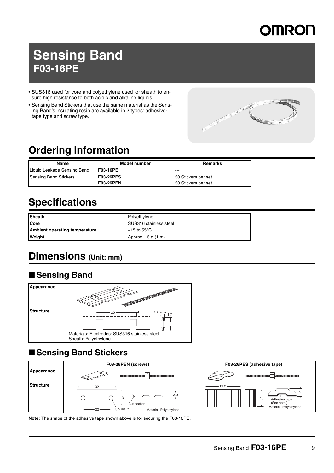## **Sensing Band F03-16PE**

- SUS316 used for core and polyethylene used for sheath to ensure high resistance to both acidic and alkaline liquids.
- Sensing Band Stickers that use the same material as the Sensing Band's insulating resin are available in 2 types: adhesivetape type and screw type.



### **Ordering Information**

| Name                         | Model number     | <b>Remarks</b>      |
|------------------------------|------------------|---------------------|
| Liquid Leakage Sensing Band  | F03-16PE         | $- - -$             |
| <b>Sensing Band Stickers</b> | <b>F03-26PES</b> | 30 Stickers per set |
|                              | <b>F03-26PEN</b> | 30 Stickers per set |

### **Specifications**

| Sheath                               | Polyethylene              |
|--------------------------------------|---------------------------|
| <b>Core</b>                          | SUS316 stainless steel    |
| <b>Ambient operating temperature</b> | $-15$ to $55^{\circ}$ C . |
| Weight                               | Approx. 16 g (1 m)        |

### <span id="page-8-0"></span>**Dimensions (Unit: mm)**

### ■ **Sensing Band**

| Appearance       |                                                                               |
|------------------|-------------------------------------------------------------------------------|
| <b>Structure</b> | 1.2<br>Materials: Electrodes: SUS316 stainless steel,<br>Sheath: Polyethylene |

### ■ **Sensing Band Stickers**



**Note:** The shape of the adhesive tape shown above is for securing the F03-16PE.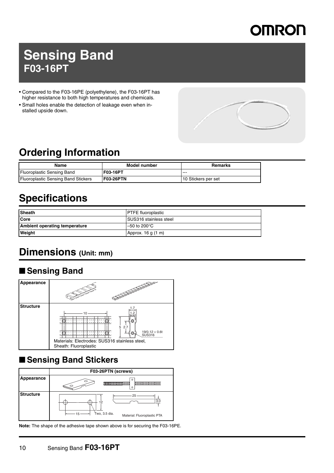## **Sensing Band F03-16PT**

- Compared to the F03-16PE (polyethylene), the F03-16PT has higher resistance to both high temperatures and chemicals.
- Small holes enable the detection of leakage even when installed upside down.



### **Ordering Information**

| Name                                       | Model number     | Remarks             |
|--------------------------------------------|------------------|---------------------|
| <b>Fluoroplastic Sensing Band</b>          | <b>IF03-16PT</b> | $- - -$             |
| <b>Fluoroplastic Sensing Band Stickers</b> | IF03-26PTN       | 10 Stickers per set |

### **Specifications**

| <b>Sheath</b>                        | <b>PTFE</b> fluoroplastic      |
|--------------------------------------|--------------------------------|
| <b>ICore</b>                         | <b>ISUS316 stainless steel</b> |
| <b>Ambient operating temperature</b> | $-50$ to 200 $^{\circ}$ C      |
| Weight                               | Approx. 16 g (1 m)             |

### **Dimensions (Unit: mm)**

### ■ **Sensing Band**



### ■ **Sensing Band Stickers**



**Note:** The shape of the adhesive tape shown above is for securing the F03-16PE.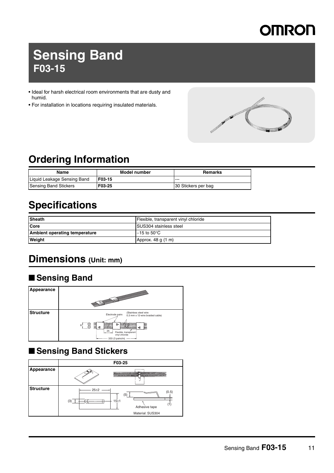## **Sensing Band F03-15**

- Ideal for harsh electrical room environments that are dusty and humid.
- For installation in locations requiring insulated materials.



### **Ordering Information**

| Name                        | Model number | Remarks             |
|-----------------------------|--------------|---------------------|
| Liquid Leakage Sensing Band | F03-15       | $- - -$             |
| Sensing Band Stickers       | F03-25       | 30 Stickers per bag |

### **Specifications**

| <b>Sheath</b>                        | Flexible, transparent vinyl chloride |
|--------------------------------------|--------------------------------------|
| Core                                 | <b>SUS304 stainless steel</b>        |
| <b>Ambient operating temperature</b> | $-15$ to $50^{\circ}$ C $^{-1}$      |
| Weight                               | Approx. 48 g (1 m)                   |

### **Dimensions (Unit: mm)**

### ■ **Sensing Band**



### ■ **Sensing Band Stickers**

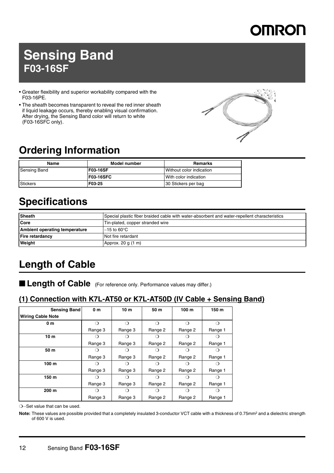

### **Sensing Band F03-16SF**

- Greater flexibility and superior workability compared with the F03-16PE.
- The sheath becomes transparent to reveal the red inner sheath if liquid leakage occurs, thereby enabling visual confirmation. After drying, the Sensing Band color will return to white (F03-16SFC only).



### **Ordering Information**

| Name                | Model number     | Remarks                  |
|---------------------|------------------|--------------------------|
| <b>Sensing Band</b> | <b>F03-16SF</b>  | Without color indication |
|                     | <b>F03-16SFC</b> | With color indication    |
| Stickers            | F03-25           | 30 Stickers per bag      |

### **Specifications**

| <b>Sheath</b>                 | Special plastic fiber braided cable with water-absorbent and water-repellent characteristics |
|-------------------------------|----------------------------------------------------------------------------------------------|
| <b>Core</b>                   | Tin-plated, copper stranded wire                                                             |
| Ambient operating temperature | $-15$ to 60 $^{\circ}$ C                                                                     |
| <b>Fire retardancy</b>        | Not fire retardant                                                                           |
| Weight                        | Approx. 20 g (1 m)                                                                           |

### **Length of Cable**

■ Length of Cable (For reference only. Performance values may differ.)

#### **(1) Connection with K7L-AT50 or K7L-AT50D (IV Cable + Sensing Band)**

| <b>Sensing Band</b>      | 0 <sub>m</sub>   | 10 <sub>m</sub>  | 50 m    | 100 <sub>m</sub> | 150 m   |
|--------------------------|------------------|------------------|---------|------------------|---------|
| <b>Wiring Cable Note</b> |                  |                  |         |                  |         |
| 0 m                      | ∩                | ∩                | ∩       | ∩                | ∩       |
|                          | Range 3          | Range 3          | Range 2 | Range 2          | Range 1 |
| 10 <sub>m</sub>          |                  |                  |         |                  |         |
|                          | Range 3          | Range 3          | Range 2 | Range 2          | Range 1 |
| 50 m                     |                  |                  | 0       |                  |         |
|                          | Range 3          | Range 3          | Range 2 | Range 2          | Range 1 |
| 100 <sub>m</sub>         |                  |                  | ()      |                  |         |
|                          | Range 3          | Range 3          | Range 2 | Range 2          | Range 1 |
| 150 m                    |                  |                  | 0       | ( )              |         |
|                          | Range 3          | Range 3          | Range 2 | Range 2          | Range 1 |
| 200 m                    | $\left( \right)$ | $\left( \right)$ | ∩       | ⊖                | ( )     |
|                          | Range 3          | Range 3          | Range 2 | Range 2          | Range 1 |

❍···Set value that can be used.

Note: These values are possible provided that a completely insulated 3-conductor VCT cable with a thickness of 0.75mm<sup>2</sup> and a dielectric strength of 600 V is used.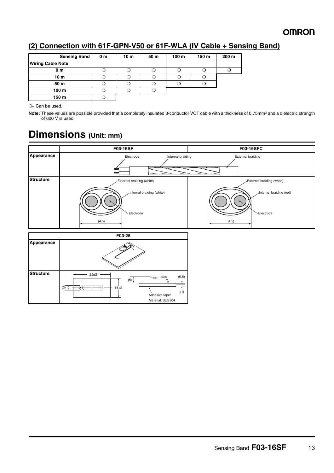#### **(2) Connection with 61F-GPN-V50 or 61F-WLA (IV Cable + Sensing Band)**

| Sensing Band             | 0 <sub>m</sub> | 10 <sub>m</sub> | 50 m | 100 m | 150 m | 200 m |
|--------------------------|----------------|-----------------|------|-------|-------|-------|
| <b>Wiring Cable Note</b> |                |                 |      |       |       |       |
| 0 <sub>m</sub>           |                |                 | ر    |       |       |       |
| 10 <sub>m</sub>          |                |                 |      |       |       |       |
| 50 m                     |                |                 |      |       |       |       |
| 100 <sub>m</sub>         |                |                 |      |       |       |       |
| 150 m                    |                |                 |      |       |       |       |

❍···Can be used.

Note: These values are possible provided that a completely insulated 3-conductor VCT cable with a thickness of 0.75mm<sup>2</sup> and a dielectric strength of 600 V is used.

### **Dimensions (Unit: mm)**

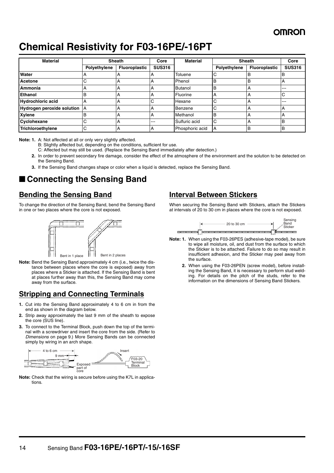### **Chemical Resistivity for F03-16PE/-16PT**

| <b>Material</b>            | <b>Sheath</b> |                      | Core          | <b>Material</b> | <b>Sheath</b> |                      | Core          |
|----------------------------|---------------|----------------------|---------------|-----------------|---------------|----------------------|---------------|
|                            | Polyethylene  | <b>Fluoroplastic</b> | <b>SUS316</b> |                 | Polyethylene  | <b>Fluoroplastic</b> | <b>SUS316</b> |
| Water                      |               | А                    |               | Toluene         | С             | B                    | в             |
| Acetone                    | С             | A                    | А             | Phenol          | в             | B                    | А             |
| Ammonia                    | A             | А                    | A             | Butanol         | B             | A                    | ---           |
| <b>Ethanol</b>             | B             | A                    | А             | Fluorine        | А             | А                    | ⌒<br>U        |
| <b>Hydrochloric acid</b>   | А             | А                    | С             | Hexane          | С             | А                    | ---           |
| Hydrogen peroxide solution | IΑ            | А                    | А             | Benzene         | С             | А                    | А             |
| Xylene                     | B             | А                    |               | Methanol        | B             | А                    |               |
| Cyclohexane                | С             | А                    | ---           | Sulfuric acid   | С             | А                    | в             |
| Trichloroethylene          | С             | А                    | А             | Phosphoric acid | A             | B                    | 'B            |

**Note: 1.** A: Not affected at all or only very slightly affected.

B: Slightly affected but, depending on the conditions, sufficient for use.

C: Affected but may still be used. (Replace the Sensing Band immediately after detection.)

- **2.** In order to prevent secondary fire damage, consider the effect of the atmosphere of the environment and the solution to be detected on the Sensing Band.
- **3.** If the Sensing Band changes shape or color when a liquid is detected, replace the Sensing Band.

### ■ Connecting the Sensing Band

#### **Bending the Sensing Band**

To change the direction of the Sensing Band, bend the Sensing Band in one or two places where the core is not exposed.



**Note:** Bend the Sensing Band approximately 4 cm (i.e., twice the distance between places where the core is exposed) away from places where a Sticker is attached. If the Sensing Band is bent at places further away than this, the Sensing Band may come away from the surface.

#### **Stripping and Connecting Terminals**

- **1.** Cut into the Sensing Band approximately 4 to 6 cm in from the end as shown in the diagram below.
- **2.** Strip away approximately the last 9 mm of the sheath to expose the core (SUS line).
- **3.** To connect to the Terminal Block, push down the top of the terminal with a screwdriver and insert the core from the side. (Refer to *Dimensions* on [page 9.](#page-8-0)) More Sensing Bands can be connected simply by wiring in an arch shape.



**Note:** Check that the wiring is secure before using the K7L in applications.

#### **Interval Between Stickers**

When securing the Sensing Band with Stickers, attach the Stickers at intervals of 20 to 30 cm in places where the core is not exposed.



- **Note: 1.** When using the F03-26PES (adhesive-tape model), be sure to wipe all moisture, oil, and dust from the surface to which the Sticker is to be attached. Failure to do so may result in insufficient adhesion, and the Sticker may peel away from the surface.
	- **2.** When using the F03-26PEN (screw model), before installing the Sensing Band, it is necessary to perform stud welding. For details on the pitch of the studs, refer to the information on the dimensions of Sensing Band Stickers.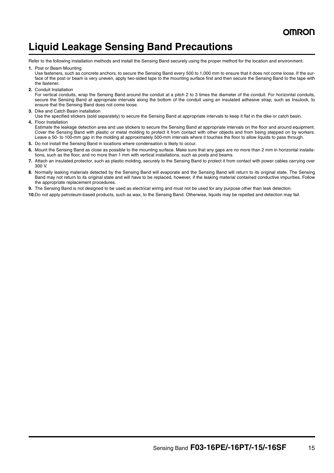### **Liquid Leakage Sensing Band Precautions**

Refer to the following installation methods and install the Sensing Band securely using the proper method for the location and environment.

**1.** Post or Beam Mounting

Use fasteners, such as concrete anchors, to secure the Sensing Band every 500 to 1,000 mm to ensure that it does not come loose. If the surface of the post or beam is very uneven, apply two-sided tape to the mounting surface first and then secure the Sensing Band to the tape with the fastener.

**2.** Conduit Installation

For vertical conduits, wrap the Sensing Band around the conduit at a pitch 2 to 3 times the diameter of the conduit. For horizontal conduits, secure the Sensing Band at appropriate intervals along the bottom of the conduit using an insulated adhesive strap, such as Insulock, to ensure that the Sensing Band does not come loose.

- **3.** Dike and Catch Basin installation
- Use the specified stickers (sold separately) to secure the Sensing Band at appropriate intervals to keep it flat in the dike or catch basin.
- **4.** Floor Installation Estimate the leakage detection area and use stickers to secure the Sensing Band at appropriate intervals on the floor and around equipment. Cover the Sensing Band with plastic or metal molding to protect it from contact with other objects and from being stepped on by workers. Leave a 50- to 100-mm gap in the molding at approximately 500-mm intervals where it touches the floor to allow liquids to pass through.
- **5.** Do not install the Sensing Band in locations where condensation is likely to occur.
- **6.** Mount the Sensing Band as close as possible to the mounting surface. Make sure that any gaps are no more than 2 mm in horizontal installations, such as the floor, and no more than 1 mm with vertical installations, such as posts and beams.
- **7.** Attach an insulated protector, such as plastic molding, securely to the Sensing Band to protect it from contact with power cables carrying over 300 V.
- **8.** Normally leaking materials detected by the Sensing Band will evaporate and the Sensing Band will return to its original state. The Sensing Band may not return to its original state and will have to be replaced, however, if the leaking material contained conductive impurities. Follow the appropriate replacement procedures.
- **9.** The Sensing Band is not designed to be used as electrical wiring and must not be used for any purpose other than leak detection.
- **10.**Do not apply petroleum-based products, such as wax, to the Sensing Band. Otherwise, liquids may be repelled and detection may fail.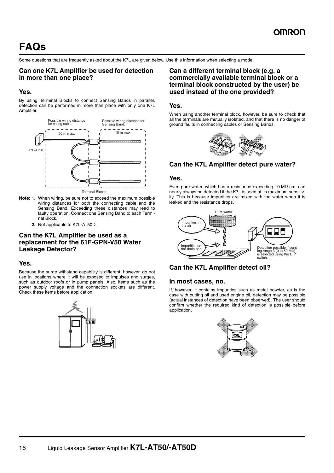Some questions that are frequently asked about the K7L are given below. Use this information when selecting a model.

#### **Can one K7L Amplifier be used for detection in more than one place?**

#### **Yes.**

By using Terminal Blocks to connect Sensing Bands in parallel, detection can be performed in more than place with only one K7L Amplifier.



- **Note: 1.** When wiring, be sure not to exceed the maximum possible wiring distances for both the connecting cable and the Sensing Band. Exceeding these distances may lead to faulty operation. Connect one Sensing Band to each Terminal Block.
	- **2.** Not applicable to K7L-AT50D.

#### **Can the K7L Amplifier be used as a replacement for the 61F-GPN-V50 Water Leakage Detector?**

#### **Yes.**

Because the surge withstand capability is different, however, do not use in locations where it will be exposed to impulses and surges, such as outdoor roofs or in pump panels. Also, items such as the power supply voltage and the connection sockets are different. Check these items before application.



#### **Can a different terminal block (e.g. a commercially available terminal block or a terminal block constructed by the user) be used instead of the one provided?**

#### **Yes.**

When using another terminal block, however, be sure to check that all the terminals are mutually isolated, and that there is no danger of ground faults in connecting cables or Sensing Bands.



#### **Can the K7L Amplifier detect pure water?**

#### **Yes.**

Even pure water, which has a resistance exceeding 10 MΩ⋅cm, can nearly always be detected if the K7L is used at its maximum sensitivity. This is because impurities are mixed with the water when it is leaked and the resistance drops.



#### **Can the K7L Amplifier detect oil?**

#### **In most cases, no.**

If, however, it contains impurities such as metal powder, as is the case with cutting oil and used engine oil, detection may be possible (actual instances of detection have been observed). The user should confirm whether the required kind of detection is possible before application.

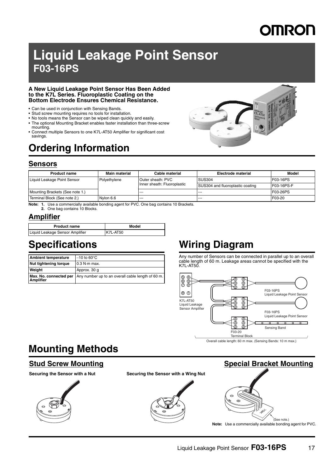# **DMRON**

## **Liquid Leakage Point Sensor F03-16PS**

#### **A New Liquid Leakage Point Sensor Has Been Added to the K7L Series. Fluoroplastic Coating on the Bottom Electrode Ensures Chemical Resistance.**

- Can be used in conjunction with Sensing Bands.
- Stud screw mounting requires no tools for installation.
- No tools means the Sensor can be wiped clean quickly and easily. • The optional Mounting Bracket enables faster installation than three-screw
- mounting.
- Connect multiple Sensors to one K7L-AT50 Amplifier for significant cost savings.

### **Ordering Information**



#### **Sensors**

| <b>Product name</b>             | Main material | Cable material              | Electrode material                      | Model      |
|---------------------------------|---------------|-----------------------------|-----------------------------------------|------------|
| Liquid Leakage Point Sensor     | Polvethvlene  | Outer sheath: PVC           | <b>SUS304</b>                           | F03-16PS   |
|                                 |               | Inner sheath: Fluoroplastic | <b>SUS304 and fluoroplastic coating</b> | F03-16PS-F |
| Mounting Brackets (See note 1.) |               | $- - -$                     | ----                                    | F03-26PS   |
| Terminal Block (See note 2.)    | Nylon 6.6     | $- - -$                     | ---                                     | F03-20     |

**Note: 1.** Use a commercially available bonding agent for PVC. One bag contains 10 Brackets.

**2.** One bag contains 10 Blocks.

#### **Amplifier**

| <b>Product name</b>             | Model    |
|---------------------------------|----------|
| Liquid Leakage Sensor Amplifier | K7L-AT50 |

**Mounting Methods**

| <b>Ambient temperature</b> | $-10$ to 60 $\degree$ C                                                         |
|----------------------------|---------------------------------------------------------------------------------|
| Nut tightening torque      | $0.3$ N $\cdot$ m max.                                                          |
| Weight                     | Approx. 30 g                                                                    |
| <b>Amplifier</b>           | <b>Max. No. connected per</b> Any number up to an overall cable length of 60 m. |

### **Specifications Wiring Diagram**

Any number of Sensors can be connected in parallel up to an overall cable length of 60 m. Leakage areas cannot be specified with the K7L-AT50.



Overall cable length: 60 m max. (Sensing Bands: 10 m max.)

### **Stud Screw Mounting Special Bracket Mounting Securing the Sensor with a Nut Securing the Sensor with a Wing Nut**  $\circ$ (See note.) **Note:** Use a commercially available bonding agent for PVC.

#### Liquid Leakage Point Sensor **F03-16PS** 17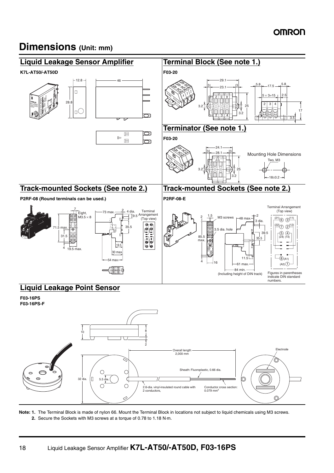### **Dimensions (Unit: mm)**



**Note: 1.** The Terminal Block is made of nylon 66. Mount the Terminal Block in locations not subject to liquid chemicals using M3 screws. **2.** Secure the Sockets with M3 screws at a torque of 0.78 to 1.18 N⋅m.

2 conductors,

2.6-dia. vinyl-insulated round cable with

Conductor cross section: 0.079 mm2

O

Sheath: Fluoroplastic, 0.66 dia.

 $\circ$ 

 $\circ$ 

 $32 \text{ dia.}$   $\begin{bmatrix} 1 & 5.5 \end{bmatrix}$ 

C

 $\bigcap$ 

 $\circledcirc$  $\circ$ 

 $\circ$ ൈ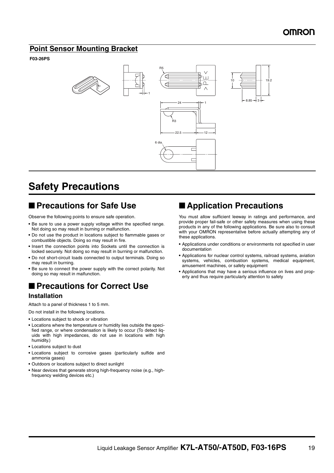#### **Point Sensor Mounting Bracket**

#### **F03-26PS**



### **Safety Precautions**

#### ■ **Precautions for Safe Use**

Observe the following points to ensure safe operation.

- **•** Be sure to use a power supply voltage within the specified range. Not doing so may result in burning or malfunction.
- **•** Do not use the product in locations subject to flammable gases or combustible objects. Doing so may result in fire.
- **•** Insert the connection points into Sockets until the connection is locked securely. Not doing so may result in burning or malfunction.
- **•** Do not short-circuit loads connected to output terminals. Doing so may result in burning.
- **•** Be sure to connect the power supply with the correct polarity. Not doing so may result in malfunction.

### ■ **Precautions for Correct Use**

#### **Installation**

Attach to a panel of thickness 1 to 5 mm.

Do not install in the following locations.

- **•** Locations subject to shock or vibration
- **•** Locations where the temperature or humidity lies outside the specified range, or where condensation is likely to occur (To detect liquids with high impedances, do not use in locations with high humidity.)
- **•** Locations subject to dust
- **•** Locations subject to corrosive gases (particularly sulfide and ammonia gases)
- **•** Outdoors or locations subject to direct sunlight
- **•** Near devices that generate strong high-frequency noise (e.g., highfrequency welding devices etc.)

#### ■ **Application Precautions**

You must allow sufficient leeway in ratings and performance, and provide proper fail-safe or other safety measures when using these products in any of the following applications. Be sure also to consult with your OMRON representative before actually attempting any of these applications.

- **•** Applications under conditions or environments not specified in user documentation
- **•** Applications for nuclear control systems, railroad systems, aviation systems, vehicles, combustion systems, medical equipment, amusement machines, or safety equipment
- **•** Applications that may have a serious influence on lives and property and thus require particularly attention to safety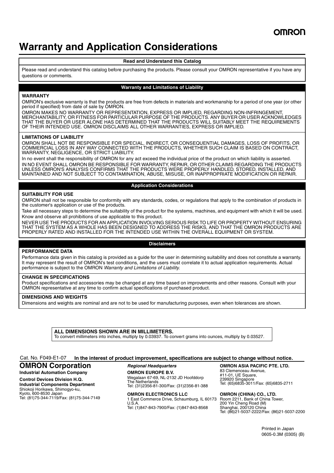### **Warranty and Application Considerations**

#### **Read and Understand this Catalog**

Please read and understand this catalog before purchasing the products. Please consult your OMRON representative if you have any questions or comments.

#### **Warranty and Limitations of Liability**

#### **WARRANTY**

OMRON's exclusive warranty is that the products are free from defects in materials and workmanship for a period of one year (or other period if specified) from date of sale by OMRON.

OMRON MAKES NO WARRANTY OR REPRESENTATION, EXPRESS OR IMPLIED, REGARDING NON-INFRINGEMENT, MERCHANTABILITY, OR FITNESS FOR PARTICULAR PURPOSE OF THE PRODUCTS. ANY BUYER OR USER ACKNOWLEDGES THAT THE BUYER OR USER ALONE HAS DETERMINED THAT THE PRODUCTS WILL SUITABLY MEET THE REQUIREMENTS OF THEIR INTENDED USE. OMRON DISCLAIMS ALL OTHER WARRANTIES, EXPRESS OR IMPLIED.

#### **LIMITATIONS OF LIABILITY**

OMRON SHALL NOT BE RESPONSIBLE FOR SPECIAL, INDIRECT, OR CONSEQUENTIAL DAMAGES, LOSS OF PROFITS, OR COMMERCIAL LOSS IN ANY WAY CONNECTED WITH THE PRODUCTS, WHETHER SUCH CLAIM IS BASED ON CONTRACT, WARRANTY, NEGLIGENCE, OR STRICT LIABILITY.

In no event shall the responsibility of OMRON for any act exceed the individual price of the product on which liability is asserted. IN NO EVENT SHALL OMRON BE RESPONSIBLE FOR WARRANTY, REPAIR, OR OTHER CLAIMS REGARDING THE PRODUCTS UNLESS OMRON'S ANALYSIS CONFIRMS THAT THE PRODUCTS WERE PROPERLY HANDLED, STORED, INSTALLED, AND MAINTAINED AND NOT SUBJECT TO CONTAMINATION, ABUSE, MISUSE, OR INAPPROPRIATE MODIFICATION OR REPAIR.

#### **Application Considerations**

#### **SUITABILITY FOR USE**

OMRON shall not be responsible for conformity with any standards, codes, or regulations that apply to the combination of products in the customer's application or use of the products.

Take all necessary steps to determine the suitability of the product for the systems, machines, and equipment with which it will be used. Know and observe all prohibitions of use applicable to this product.

NEVER USE THE PRODUCTS FOR AN APPLICATION INVOLVING SERIOUS RISK TO LIFE OR PROPERTY WITHOUT ENSURING THAT THE SYSTEM AS A WHOLE HAS BEEN DESIGNED TO ADDRESS THE RISKS, AND THAT THE OMRON PRODUCTS ARE PROPERLY RATED AND INSTALLED FOR THE INTENDED USE WITHIN THE OVERALL EQUIPMENT OR SYSTEM.

#### **Disclaimers**

#### **PERFORMANCE DATA**

Performance data given in this catalog is provided as a guide for the user in determining suitability and does not constitute a warranty. It may represent the result of OMRON's test conditions, and the users must correlate it to actual application requirements. Actual performance is subject to the OMRON *Warranty and Limitations of Liability.*

#### **CHANGE IN SPECIFICATIONS**

Product specifications and accessories may be changed at any time based on improvements and other reasons. Consult with your OMRON representative at any time to confirm actual specifications of purchased product.

#### **DIMENSIONS AND WEIGHTS**

Dimensions and weights are nominal and are not to be used for manufacturing purposes, even when tolerances are shown.

**ALL DIMENSIONS SHOWN ARE IN MILLIMETERS.** To convert millimeters into inches, multiply by 0.03937. To convert grams into ounces, multiply by 0.03527.

#### **In the interest of product improvement, specifications are subject to change without notice.** Cat. No. F049-E1-07

#### **OMRON Corporation**

**Industrial Automation Company Control Devices Division H.Q. Industrial Components Department** Shiokoji Horikawa, Shimogyo-ku, Kyoto, 600-8530 Japan Tel: (81)75-344-7119/Fax: (81)75-344-7149 *Regional Headquarters* **OMRON EUROPE B.V.**

Wegalaan 67-69, NL-2132 JD Hoofddorp The Netherlands Tel: (31)2356-81-300/Fax: (31)2356-81-388

**OMRON ELECTRONICS LLC** 1 East Commerce Drive, Schaumburg, IL 60173 U.S.A. Tel: (1)847-843-7900/Fax: (1)847-843-8568

**OMRON ASIA PACIFIC PTE. LTD.** 83 Clemenceau Avenue, #11-01, UE Square, 239920 Singapore Tel: (65)6835-3011/Fax: (65)6835-2711

**OMRON (CHINA) CO., LTD.**  Room 2211, Bank of China Tower, 200 Yin Cheng Road (M) Shanghai, 200120 China Tel: (86)21-5037-2222/Fax: (86)21-5037-2200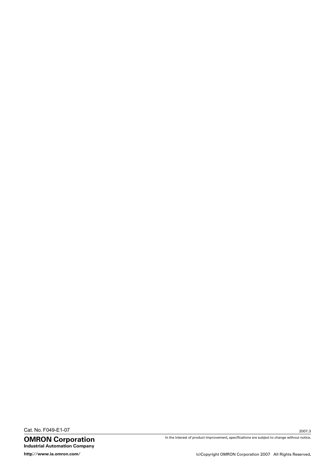Cat. No. F049-E1-07

OMRON Corporation Industrial Automation Company

In the interest of product improvement, specifications are subject to change without notice.